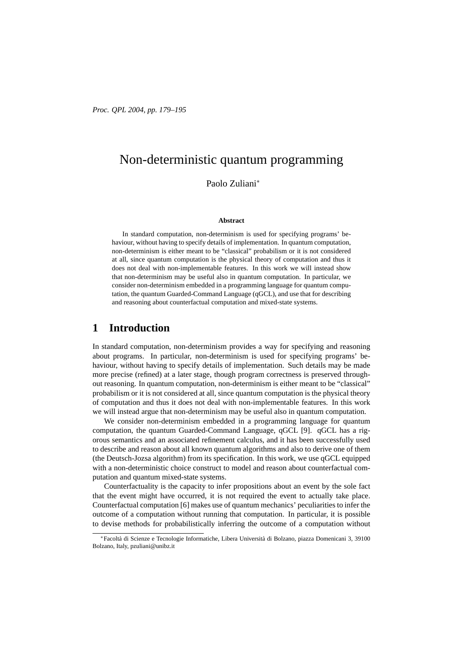# Non-deterministic quantum programming

Paolo Zuliani<sup>∗</sup>

#### **Abstract**

In standard computation, non-determinism is used for specifying programs' behaviour, without having to specify details of implementation. In quantum computation, non-determinism is either meant to be "classical" probabilism or it is not considered at all, since quantum computation is the physical theory of computation and thus it does not deal with non-implementable features. In this work we will instead show that non-determinism may be useful also in quantum computation. In particular, we consider non-determinism embedded in a programming language for quantum computation, the quantum Guarded-Command Language (qGCL), and use that for describing and reasoning about counterfactual computation and mixed-state systems.

### **1 Introduction**

In standard computation, non-determinism provides a way for specifying and reasoning about programs. In particular, non-determinism is used for specifying programs' behaviour, without having to specify details of implementation. Such details may be made more precise (refined) at a later stage, though program correctness is preserved throughout reasoning. In quantum computation, non-determinism is either meant to be "classical" probabilism or it is not considered at all, since quantum computation is the physical theory of computation and thus it does not deal with non-implementable features. In this work we will instead argue that non-determinism may be useful also in quantum computation.

We consider non-determinism embedded in a programming language for quantum computation, the quantum Guarded-Command Language, qGCL [9]. qGCL has a rigorous semantics and an associated refinement calculus, and it has been successfully used to describe and reason about all known quantum algorithms and also to derive one of them (the Deutsch-Jozsa algorithm) from its specification. In this work, we use qGCL equipped with a non-deterministic choice construct to model and reason about counterfactual computation and quantum mixed-state systems.

Counterfactuality is the capacity to infer propositions about an event by the sole fact that the event might have occurred, it is not required the event to actually take place. Counterfactual computation [6] makes use of quantum mechanics' peculiarities to infer the outcome of a computation without running that computation. In particular, it is possible to devise methods for probabilistically inferring the outcome of a computation without

<sup>\*</sup>Facoltà di Scienze e Tecnologie Informatiche, Libera Università di Bolzano, piazza Domenicani 3, 39100 Bolzano, Italy, pzuliani@unibz.it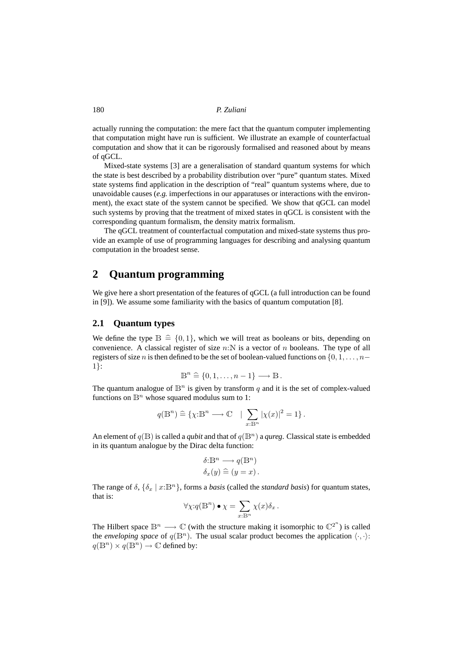actually running the computation: the mere fact that the quantum computer implementing that computation might have run is sufficient. We illustrate an example of counterfactual computation and show that it can be rigorously formalised and reasoned about by means of qGCL.

Mixed-state systems [3] are a generalisation of standard quantum systems for which the state is best described by a probability distribution over "pure" quantum states. Mixed state systems find application in the description of "real" quantum systems where, due to unavoidable causes (*e.g.* imperfections in our apparatuses or interactions with the environment), the exact state of the system cannot be specified. We show that qGCL can model such systems by proving that the treatment of mixed states in qGCL is consistent with the corresponding quantum formalism, the density matrix formalism.

The qGCL treatment of counterfactual computation and mixed-state systems thus provide an example of use of programming languages for describing and analysing quantum computation in the broadest sense.

### **2 Quantum programming**

We give here a short presentation of the features of qGCL (a full introduction can be found in [9]). We assume some familiarity with the basics of quantum computation [8].

#### **2.1 Quantum types**

We define the type  $\mathbb{B} \triangleq \{0, 1\}$ , which we will treat as booleans or bits, depending on convenience. A classical register of size  $n:\mathbb{N}$  is a vector of n booleans. The type of all registers of size n is then defined to be the set of boolean-valued functions on  $\{0, 1, \ldots, n-$ 1}:

$$
\mathbb{B}^n \stackrel{\sim}{=} \{0, 1, \ldots, n-1\} \longrightarrow \mathbb{B}.
$$

The quantum analogue of  $\mathbb{B}^n$  is given by transform q and it is the set of complex-valued functions on  $\mathbb{B}^n$  whose squared modulus sum to 1:

$$
q(\mathbb{B}^n) \stackrel{\sim}{=} \{ \chi: \mathbb{B}^n \longrightarrow \mathbb{C} \quad | \sum_{x: \mathbb{B}^n} |\chi(x)|^2 = 1 \} \, .
$$

An element of  $q(\mathbb{B})$  is called a *qubit* and that of  $q(\mathbb{B}^n)$  a *qureg*. Classical state is embedded in its quantum analogue by the Dirac delta function:

$$
\delta: \mathbb{B}^n \longrightarrow q(\mathbb{B}^n)
$$
  

$$
\delta_x(y) \stackrel{\sim}{=} (y = x).
$$

The range of  $\delta$ ,  $\{\delta_x \mid x : \mathbb{B}^n\}$ , forms a *basis* (called the *standard basis*) for quantum states, that is:

$$
\forall \chi : q(\mathbb{B}^n) \bullet \chi = \sum_{x : \mathbb{B}^n} \chi(x) \delta_x.
$$

The Hilbert space  $\mathbb{B}^n \longrightarrow \mathbb{C}$  (with the structure making it isomorphic to  $\mathbb{C}^{2^n}$ ) is called the *enveloping space* of  $q(\mathbb{B}^n)$ . The usual scalar product becomes the application  $\langle \cdot, \cdot \rangle$ :  $q(\mathbb{B}^n) \times q(\mathbb{B}^n) \to \mathbb{C}$  defined by: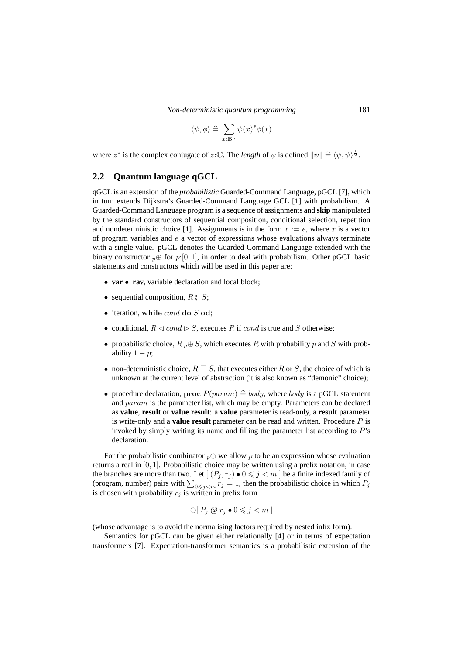*Non-deterministic quantum programming* 181

$$
\langle \psi, \phi \rangle \triangleq \sum_{x : \mathbb{B}^n} \psi(x)^* \phi(x)
$$

where  $z^*$  is the complex conjugate of  $z:\mathbb{C}$ . The *length* of  $\psi$  is defined  $\|\psi\| \triangleq \langle \psi, \psi \rangle^{\frac{1}{2}}$ .

#### **2.2 Quantum language qGCL**

qGCL is an extension of the *probabilistic* Guarded-Command Language, pGCL [7], which in turn extends Dijkstra's Guarded-Command Language GCL [1] with probabilism. A Guarded-Command Language program is a sequence of assignments and **skip** manipulated by the standard constructors of sequential composition, conditional selection, repetition and nondeterministic choice [1]. Assignments is in the form  $x := e$ , where x is a vector of program variables and  $e$  a vector of expressions whose evaluations always terminate with a single value. pGCL denotes the Guarded-Command Language extended with the binary constructor  $p \oplus$  for  $p:[0, 1]$ , in order to deal with probabilism. Other pGCL basic statements and constructors which will be used in this paper are:

- **var rav**, variable declaration and local block;
- sequential composition,  $R \text{ }^{\circ} S$ ;
- iteration, while cond do S od;
- conditional,  $R \triangleleft cond \triangleright S$ , executes R if cond is true and S otherwise;
- probabilistic choice,  $R_p \oplus S$ , which executes R with probability p and S with probability  $1 - p$ ;
- non-deterministic choice,  $R \square S$ , that executes either R or S, the choice of which is unknown at the current level of abstraction (it is also known as "demonic" choice);
- procedure declaration, proc  $P(param) \hat{=} body$ , where body is a pGCL statement and *param* is the parameter list, which may be empty. Parameters can be declared as **value**, **result** or **value result**: a **value** parameter is read-only, a **result** parameter is write-only and a **value result** parameter can be read and written. Procedure P is invoked by simply writing its name and filling the parameter list according to P's declaration.

For the probabilistic combinator  $p \oplus w$  allow p to be an expression whose evaluation returns a real in [0, 1]. Probabilistic choice may be written using a prefix notation, in case the branches are more than two. Let  $[(P_i, r_j) \bullet 0 \leq j \leq m]$  be a finite indexed family of (program, number) pairs with  $\sum_{0 \le j \le m} r_j = 1$ , then the probabilistic choice in which  $P_j$ is chosen with probability  $r_j$  is written in prefix form

$$
\bigoplus [P_j \otimes r_j \bullet 0 \leqslant j < m]
$$

(whose advantage is to avoid the normalising factors required by nested infix form).

Semantics for pGCL can be given either relationally [4] or in terms of expectation transformers [7]. Expectation-transformer semantics is a probabilistic extension of the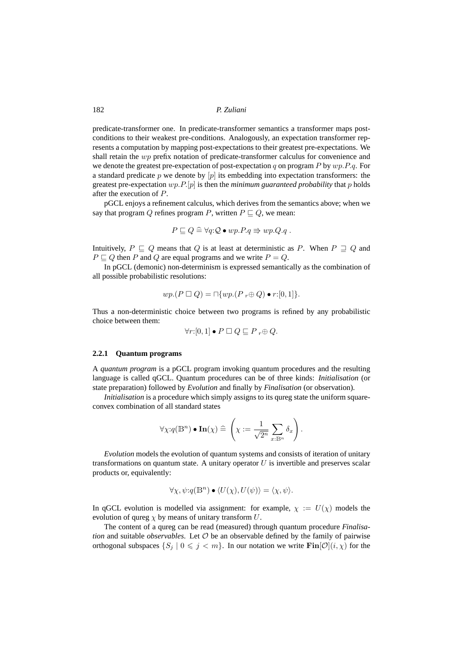predicate-transformer one. In predicate-transformer semantics a transformer maps postconditions to their weakest pre-conditions. Analogously, an expectation transformer represents a computation by mapping post-expectations to their greatest pre-expectations. We shall retain the  $wp$  prefix notation of predicate-transformer calculus for convenience and we denote the greatest pre-expectation of post-expectation q on program  $P$  by  $wp.P.q.$  For a standard predicate p we denote by  $[p]$  its embedding into expectation transformers: the greatest pre-expectation  $wp.P.[p]$  is then the *minimum guaranteed probability* that  $p$  holds after the execution of P.

pGCL enjoys a refinement calculus, which derives from the semantics above; when we say that program Q refines program P, written  $P \sqsubseteq Q$ , we mean:

$$
P \sqsubseteq Q \cong \forall q: Q \bullet wp.P.q \Rrightarrow wp.Q.q.
$$

Intuitively,  $P \sqsubseteq Q$  means that Q is at least at deterministic as P. When  $P \sqsupseteq Q$  and  $P \sqsubseteq Q$  then P and Q are equal programs and we write  $P = Q$ .

In pGCL (demonic) non-determinism is expressed semantically as the combination of all possible probabilistic resolutions:

$$
wp.(P \sqcup Q) = \sqcap \{wp.(P_r \oplus Q) \bullet r:[0,1]\}.
$$

Thus a non-deterministic choice between two programs is refined by any probabilistic choice between them:

$$
\forall r:[0,1]\bullet P \ \Box \ Q \sqsubseteq P \ _{r}\oplus Q.
$$

#### **2.2.1 Quantum programs**

A *quantum program* is a pGCL program invoking quantum procedures and the resulting language is called qGCL. Quantum procedures can be of three kinds: *Initialisation* (or state preparation) followed by *Evolution* and finally by *Finalisation* (or observation).

*Initialisation* is a procedure which simply assigns to its qureg state the uniform squareconvex combination of all standard states

$$
\forall \chi: q(\mathbb{B}^n) \bullet \mathbf{In}(\chi) \cong \left(\chi := \frac{1}{\sqrt{2^n}} \sum_{x : \mathbb{B}^n} \delta_x\right).
$$

*Evolution* models the evolution of quantum systems and consists of iteration of unitary transformations on quantum state. A unitary operator  $U$  is invertible and preserves scalar products or, equivalently:

$$
\forall \chi, \psi: q(\mathbb{B}^n) \bullet \langle U(\chi), U(\psi) \rangle = \langle \chi, \psi \rangle.
$$

In qGCL evolution is modelled via assignment: for example,  $\chi := U(\chi)$  models the evolution of qureg  $\chi$  by means of unitary transform U.

The content of a qureg can be read (measured) through quantum procedure *Finalisation* and suitable *observables*. Let O be an observable defined by the family of pairwise orthogonal subspaces  $\{S_j \mid 0 \leq j < m\}$ . In our notation we write  $\text{Fin}[\mathcal{O}](i,\chi)$  for the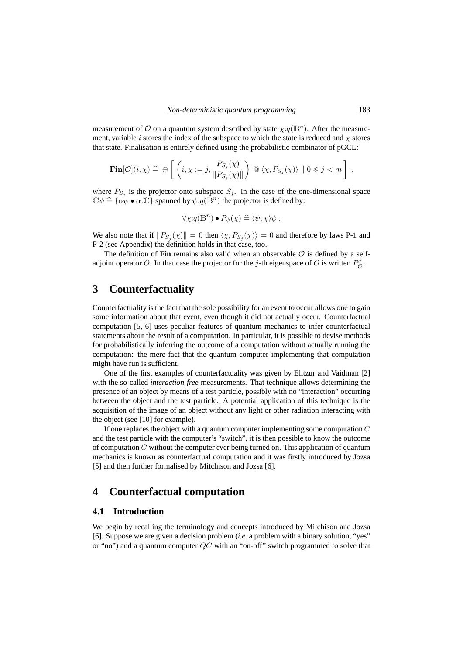measurement of O on a quantum system described by state  $\chi:q(\mathbb{B}^n)$ . After the measurement, variable *i* stores the index of the subspace to which the state is reduced and  $\chi$  stores that state. Finalisation is entirely defined using the probabilistic combinator of pGCL:

$$
\mathbf{Fin}[\mathcal{O}](i,\chi) \,\,\widehat{=}\,\,\oplus\,\left[\,\left(i,\chi:=j,\frac{P_{S_j}(\chi)}{\|P_{S_j}(\chi)\|}\right)\,\,\mathsf{Q}\,\,\langle\chi,P_{S_j}(\chi)\rangle\,\,\big|\,0\leqslant j < m\,\right]\,.
$$

where  $P_{S_j}$  is the projector onto subspace  $S_j$ . In the case of the one-dimensional space  $\mathbb{C}\psi \cong {\alpha\psi \bullet \alpha:\mathbb{C}}$  spanned by  $\psi:q(\mathbb{B}^n)$  the projector is defined by:

$$
\forall \chi \,:\, q(\mathbb{B}^n) \bullet P_{\psi}(\chi) \stackrel{\sim}{=} \langle \psi, \chi \rangle \psi \;.
$$

We also note that if  $||P_{S_j}(\chi)|| = 0$  then  $\langle \chi, P_{S_j}(\chi) \rangle = 0$  and therefore by laws P-1 and P-2 (see Appendix) the definition holds in that case, too.

The definition of **Fin** remains also valid when an observable  $\mathcal{O}$  is defined by a selfadjoint operator O. In that case the projector for the j-th eigenspace of O is written  $P_{\mathcal{O}}^j$ .

### **3 Counterfactuality**

Counterfactuality is the fact that the sole possibility for an event to occur allows one to gain some information about that event, even though it did not actually occur. Counterfactual computation [5, 6] uses peculiar features of quantum mechanics to infer counterfactual statements about the result of a computation. In particular, it is possible to devise methods for probabilistically inferring the outcome of a computation without actually running the computation: the mere fact that the quantum computer implementing that computation might have run is sufficient.

One of the first examples of counterfactuality was given by Elitzur and Vaidman [2] with the so-called *interaction-free* measurements. That technique allows determining the presence of an object by means of a test particle, possibly with no "interaction" occurring between the object and the test particle. A potential application of this technique is the acquisition of the image of an object without any light or other radiation interacting with the object (see [10] for example).

If one replaces the object with a quantum computer implementing some computation  $C$ and the test particle with the computer's "switch", it is then possible to know the outcome of computation  $C$  without the computer ever being turned on. This application of quantum mechanics is known as counterfactual computation and it was firstly introduced by Jozsa [5] and then further formalised by Mitchison and Jozsa [6].

### **4 Counterfactual computation**

### **4.1 Introduction**

We begin by recalling the terminology and concepts introduced by Mitchison and Jozsa [6]. Suppose we are given a decision problem (*i.e.* a problem with a binary solution, "yes" or "no") and a quantum computer  $QC$  with an "on-off" switch programmed to solve that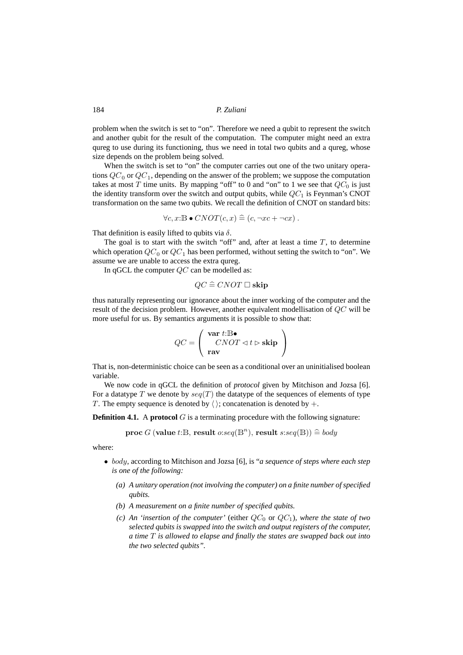problem when the switch is set to "on". Therefore we need a qubit to represent the switch and another qubit for the result of the computation. The computer might need an extra qureg to use during its functioning, thus we need in total two qubits and a qureg, whose size depends on the problem being solved.

When the switch is set to "on" the computer carries out one of the two unitary operations  $QC_0$  or  $QC_1$ , depending on the answer of the problem; we suppose the computation takes at most T time units. By mapping "off" to 0 and "on" to 1 we see that  $QC_0$  is just the identity transform over the switch and output qubits, while  $QC_1$  is Feynman's CNOT transformation on the same two qubits. We recall the definition of CNOT on standard bits:

$$
\forall c, x : \mathbb{B} \bullet CNOT(c, x) \widehat{=} (c, \neg xc + \neg cx).
$$

That definition is easily lifted to qubits via  $\delta$ .

The goal is to start with the switch "off" and, after at least a time  $T$ , to determine which operation  $QC_0$  or  $QC_1$  has been performed, without setting the switch to "on". We assume we are unable to access the extra qureg.

In qGCL the computer  $QC$  can be modelled as:

 $QC \cong CNOT \square$  skip

thus naturally representing our ignorance about the inner working of the computer and the result of the decision problem. However, another equivalent modellisation of  $QC$  will be more useful for us. By semantics arguments it is possible to show that:

$$
QC = \left(\begin{array}{c} \textbf{var} \ t:\mathbb{B} \bullet \\ CNOT \lhd t \rhd \textbf{skip} \end{array}\right)
$$

That is, non-deterministic choice can be seen as a conditional over an uninitialised boolean variable.

We now code in qGCL the definition of *protocol* given by Mitchison and Jozsa [6]. For a datatype T we denote by  $seq(T)$  the datatype of the sequences of elements of type T. The empty sequence is denoted by  $\langle \cdot \rangle$ ; concatenation is denoted by  $+$ .

**Definition 4.1.** A **protocol** G is a terminating procedure with the following signature:

 $\mathbf{proc} \ G\ (\mathbf{value} \ t{:} \mathbb{B}, \ \mathbf{result} \ o{:}seq(\mathbb{B}^n), \ \mathbf{result} \ s{:}seq(\mathbb{B})) \mathbin{\hat =} body$ 

where:

- body, according to Mitchison and Jozsa [6], is "*a sequence of steps where each step is one of the following:*
	- *(a) A unitary operation (not involving the computer) on a finite number of specified qubits.*
	- *(b) A measurement on a finite number of specified qubits.*
	- *(c) An 'insertion of the computer'* (either  $QC_0$  or  $QC_1$ )*, where the state of two selected qubits is swapped into the switch and output registers of the computer, a time* T *is allowed to elapse and finally the states are swapped back out into the two selected qubits".*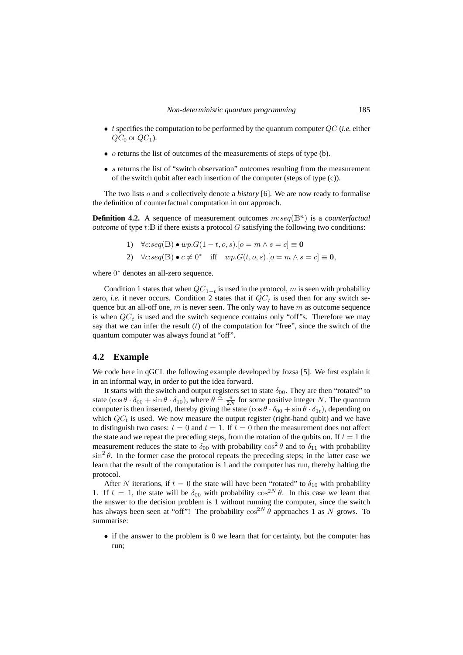- t specifies the computation to be performed by the quantum computer QC (*i.e.* either  $QC_0$  or  $QC_1$ ).
- $\sigma$  returns the list of outcomes of the measurements of steps of type (b).
- s returns the list of "switch observation" outcomes resulting from the measurement of the switch qubit after each insertion of the computer (steps of type (c)).

The two lists o and s collectively denote a *history* [6]. We are now ready to formalise the definition of counterfactual computation in our approach.

**Definition 4.2.** A sequence of measurement outcomes  $m:seq(\mathbb{B}^n)$  is a *counterfactual outcome* of type  $t$ :  $\overline{B}$  if there exists a protocol  $G$  satisfying the following two conditions:

\n- 1) 
$$
\forall c: seq(\mathbb{B}) \bullet wp.G(1-t, o, s).
$$
  $[o = m \land s = c] \equiv 0$
\n- 2)  $\forall c: seq(\mathbb{B}) \bullet c \neq 0^*$  iff  $wp.G(t, o, s).$   $[o = m \land s = c] \equiv 0$
\n

where  $0^*$  denotes an all-zero sequence.

Condition 1 states that when  $QC_{1-t}$  is used in the protocol, m is seen with probability zero, *i.e.* it never occurs. Condition 2 states that if  $QC<sub>t</sub>$  is used then for any switch sequence but an all-off one,  $m$  is never seen. The only way to have  $m$  as outcome sequence is when  $QC_t$  is used and the switch sequence contains only "off"s. Therefore we may say that we can infer the result  $(t)$  of the computation for "free", since the switch of the quantum computer was always found at "off".

#### **4.2 Example**

We code here in qGCL the following example developed by Jozsa [5]. We first explain it in an informal way, in order to put the idea forward.

It starts with the switch and output registers set to state  $\delta_{00}$ . They are then "rotated" to state  $(\cos \theta \cdot \delta_{00} + \sin \theta \cdot \delta_{10})$ , where  $\theta \triangleq \frac{\pi}{2N}$  for some positive integer N. The quantum<br>computer is then inserted, thereby giving the state  $(\cos \theta \cdot \delta_{11})$  in  $\theta \cdot \delta_{12}$ , depending on computer is then inserted, thereby giving the state  $(\cos \theta \cdot \delta_{00} + \sin \theta \cdot \delta_{1t})$ , depending on which  $QC_t$  is used. We now measure the output register (right-hand qubit) and we have to distinguish two cases:  $t = 0$  and  $t = 1$ . If  $t = 0$  then the measurement does not affect the state and we repeat the preceding steps, from the rotation of the qubits on. If  $t = 1$  the measurement reduces the state to  $\delta_{00}$  with probability  $\cos^2 \theta$  and to  $\delta_{11}$  with probability  $\sin^2 \theta$ . In the former case the protocol repeats the preceding steps; in the latter case we learn that the result of the computation is 1 and the computer has run, thereby halting the protocol.

After N iterations, if  $t = 0$  the state will have been "rotated" to  $\delta_{10}$  with probability 1. If  $t = 1$ , the state will be  $\delta_{00}$  with probability  $\cos^{2N} \theta$ . In this case we learn that the answer to the decision problem is 1 without running the computer, since the switch has always been seen at "off"! The probability  $\cos^{2N} \theta$  approaches 1 as N grows. To summarise:

• if the answer to the problem is 0 we learn that for certainty, but the computer has run;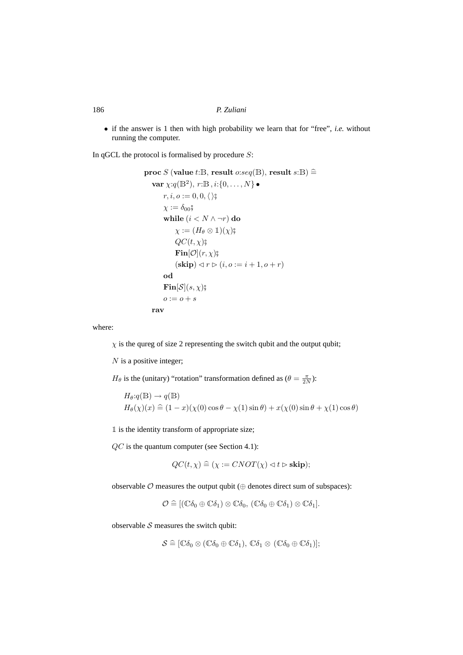• if the answer is 1 then with high probability we learn that for "free", *i.e.* without running the computer.

In qGCL the protocol is formalised by procedure  $S$ :

$$
\begin{aligned}\n\textbf{proc } S \text{ (value } t: \mathbb{B}, \text{ result } o: seq(\mathbb{B}), \text{ result } s: \mathbb{B}) &\stackrel{\triangle}{=} \\
\textbf{var } \chi: q(\mathbb{B}^2), r: \mathbb{B}, i: \{0, \ldots, N\} &\bullet \\
r, i, o := 0, 0, \langle \rangle \}, \\
\chi := \delta_{00} \circ \\
\textbf{while } (i < N \land \neg r) \textbf{ do} \\
\chi := (H_\theta \otimes 1)(\chi) \circ \\
QC(t, \chi) \circ \\
\textbf{Fin}[\mathcal{O}](r, \chi) \circ \\
(\textbf{skip}) \lhd r \rhd (i, o := i + 1, o + r) \\
\textbf{od} \\
\textbf{Fin}[S](s, \chi) \circ \\
o := o + s \\
\textbf{rav}\n\end{aligned}
$$

where:

 $\chi$  is the qureg of size 2 representing the switch qubit and the output qubit;

 $N$  is a positive integer;

 $H_{\theta}$  is the (unitary) "rotation" transformation defined as ( $\theta = \frac{\pi}{2N}$ ):

$$
H_{\theta}:q(\mathbb{B}) \to q(\mathbb{B})
$$
  
\n
$$
H_{\theta}(\chi)(x) \hat{=} (1-x)(\chi(0)\cos\theta - \chi(1)\sin\theta) + x(\chi(0)\sin\theta + \chi(1)\cos\theta)
$$

1 is the identity transform of appropriate size;

QC is the quantum computer (see Section 4.1):

$$
QC(t, \chi) \stackrel{\sim}{=} (\chi := CNOT(\chi) \lhd t \rhd \mathbf{skip});
$$

observable  $O$  measures the output qubit ( $\oplus$  denotes direct sum of subspaces):

$$
\mathcal{O}\cong [(\mathbb{C}\delta_0\oplus\mathbb{C}\delta_1)\otimes\mathbb{C}\delta_0, (\mathbb{C}\delta_0\oplus\mathbb{C}\delta_1)\otimes\mathbb{C}\delta_1].
$$

observable  $S$  measures the switch qubit:

$$
\mathcal{S} \widehat{=} [\mathbb{C}\delta_0 \otimes (\mathbb{C}\delta_0 \oplus \mathbb{C}\delta_1), \mathbb{C}\delta_1 \otimes (\mathbb{C}\delta_0 \oplus \mathbb{C}\delta_1)];
$$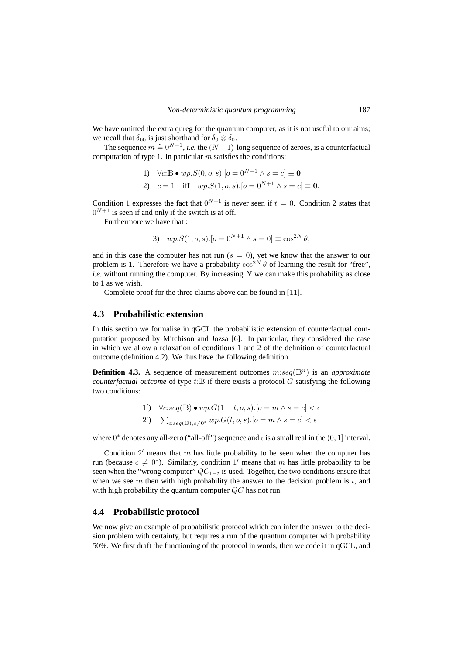We have omitted the extra qureg for the quantum computer, as it is not useful to our aims; we recall that  $\delta_{00}$  is just shorthand for  $\delta_0 \otimes \delta_0$ .

The sequence  $m \nightharpoonup 0^{N+1}$ , *i.e.* the  $(N+1)$ -long sequence of zeroes, is a counterfactual<br>position of type 1. In particular magnitude the conditions: computation of type 1. In particular  $m$  satisfies the conditions:

1) 
$$
\forall c: B \bullet wp.S(0, o, s). [o = 0^{N+1} \land s = c] \equiv 0
$$
  
2)  $c = 1$  iff  $wp.S(1, o, s). [o = 0^{N+1} \land s = c] \equiv 0$ .

Condition 1 expresses the fact that  $0^{N+1}$  is never seen if  $t = 0$ . Condition 2 states that  $0^{N+1}$  is seen if and only if the switch is at off.

Furthermore we have that :

3) 
$$
wp.S(1, o, s)
$$
.  $[o = 0^{N+1} \wedge s = 0] \equiv \cos^{2N} \theta$ ,

and in this case the computer has not run  $(s = 0)$ , yet we know that the answer to our problem is 1. Therefore we have a probability  $\cos^{2N} \theta$  of learning the result for "free", *i.e.* without running the computer. By increasing  $N$  we can make this probability as close to 1 as we wish.

Complete proof for the three claims above can be found in [11].

#### **4.3 Probabilistic extension**

In this section we formalise in qGCL the probabilistic extension of counterfactual computation proposed by Mitchison and Jozsa [6]. In particular, they considered the case in which we allow a relaxation of conditions 1 and 2 of the definition of counterfactual outcome (definition 4.2). We thus have the following definition.

**Definition 4.3.** A sequence of measurement outcomes  $m:seq(\mathbb{B}^n)$  is an *approximate counterfactual outcome* of type  $t:\mathbb{B}$  if there exists a protocol G satisfying the following two conditions:

1') 
$$
\forall c: seq(\mathbb{B}) \bullet wp.G(1-t, o, s).[o = m \land s = c] < \epsilon
$$
  
2') 
$$
\sum_{c: seq(\mathbb{B}), c \neq 0^*} wp.G(t, o, s).[o = m \land s = c] < \epsilon
$$

where  $0^*$  denotes any all-zero ("all-off") sequence and  $\epsilon$  is a small real in the  $(0, 1]$  interval.

Condition  $2'$  means that  $m$  has little probability to be seen when the computer has run (because  $c \neq 0^*$ ). Similarly, condition 1' means that m has little probability to be seen when the "wrong computer"  $QC_{1-t}$  is used. Together, the two conditions ensure that when we see  $m$  then with high probability the answer to the decision problem is  $t$ , and with high probability the quantum computer  $QC$  has not run.

#### **4.4 Probabilistic protocol**

We now give an example of probabilistic protocol which can infer the answer to the decision problem with certainty, but requires a run of the quantum computer with probability 50%. We first draft the functioning of the protocol in words, then we code it in qGCL, and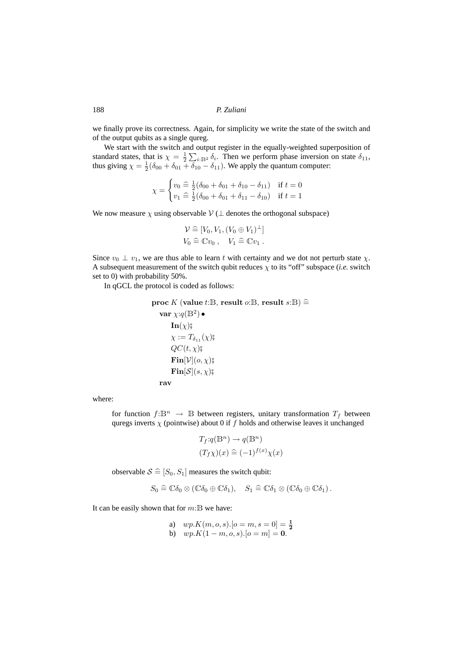we finally prove its correctness. Again, for simplicity we write the state of the switch and of the output qubits as a single qureg.

We start with the switch and output register in the equally-weighted superposition of standard states, that is  $\chi = \frac{1}{2} \sum_{i:\text{B}^2} \delta_i$ . Then we perform phase inversion on state  $\delta_{11}$ , thus giving  $\chi = \frac{1}{2}(\delta_{00} + \delta_{01} + \delta_{10} - \delta_{11})$ . We apply the quantum computer:

$$
\chi = \begin{cases} v_0 \stackrel{\frown}{=} \frac{1}{2} (\delta_{00} + \delta_{01} + \delta_{10} - \delta_{11}) & \text{if } t = 0 \\ v_1 \stackrel{\frown}{=} \frac{1}{2} (\delta_{00} + \delta_{01} + \delta_{11} - \delta_{10}) & \text{if } t = 1 \end{cases}
$$

We now measure  $\chi$  using observable  $\mathcal{V}(\perp$  denotes the orthogonal subspace)

$$
\mathcal{V} \widehat{=} [V_0, V_1, (V_0 \oplus V_1)^{\perp}]
$$
  

$$
V_0 \widehat{=} \mathbb{C}v_0 , \quad V_1 \widehat{=} \mathbb{C}v_1 .
$$

Since  $v_0 \perp v_1$ , we are thus able to learn t with certainty and we dot not perturb state  $\chi$ . A subsequent measurement of the switch qubit reduces  $\chi$  to its "off" subspace (*i.e.* switch set to 0) with probability 50%.

In qGCL the protocol is coded as follows:

$$
\begin{aligned}\n\textbf{proc} \; & K \; (\textbf{value} \; t \text{:B}, \; \text{result} \; o \text{:B}, \; \text{result} \; s \text{:B}) \cong \\
& \quad \textbf{var} \; \chi \text{:}\mathcal{q}(\mathbb{B}^2) \bullet \\
& \quad \textbf{In}(\chi) \text{;} \\
& \quad \chi := T_{\delta_{11}}(\chi) \text{;} \\
& \quad \textbf{QC}(t, \chi) \text{;} \\
& \quad \textbf{Fin}[\mathcal{V}](o, \chi) \text{;} \\
& \quad \textbf{Fin}[\mathcal{S}](s, \chi) \text{;} \\
& \quad \textbf{rav}\n\end{aligned}
$$

where:

for function  $f: \mathbb{B}^n \to \mathbb{B}$  between registers, unitary transformation  $T_f$  between quregs inverts  $\chi$  (pointwise) about 0 if f holds and otherwise leaves it unchanged

$$
T_f:q(\mathbb{B}^n)\to q(\mathbb{B}^n)
$$
  

$$
(T_f\chi)(x) \hat{=} (-1)^{f(x)}\chi(x)
$$

observable  $S \triangleq [S_0, S_1]$  measures the switch qubit:

$$
S_0 \widehat{=} \mathbb{C}\delta_0 \otimes (\mathbb{C}\delta_0 \oplus \mathbb{C}\delta_1), \quad S_1 \widehat{=} \mathbb{C}\delta_1 \otimes (\mathbb{C}\delta_0 \oplus \mathbb{C}\delta_1).
$$

It can be easily shown that for  $m: \mathbb{B}$  we have:

a)  $wp.K(m, o, s) \cdot [o = m, s = 0] = \frac{1}{2}$ <br>b)  $wp.K(1 - m, o, s) \cdot [o = m] = 0.$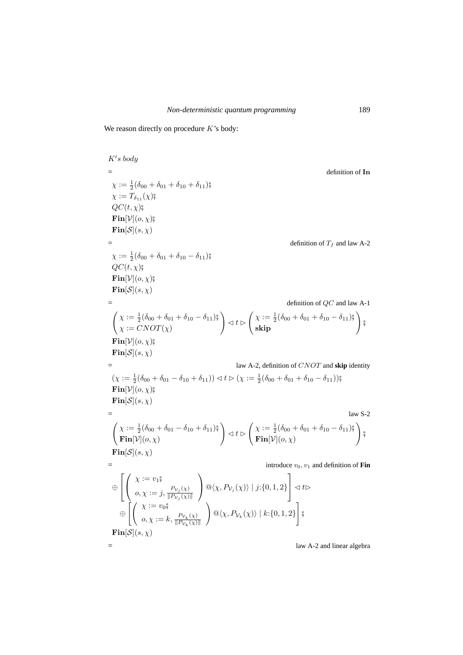We reason directly on procedure  $K$ 's body:

 $K's$  body  $=$  definition of In  $\chi := \frac{1}{2} (\delta_{00} + \delta_{01} + \delta_{10} + \delta_{11})$ ;  $\chi := T_{\delta_{11}}(\chi)$ ;  $QC(t, \chi)$ ;  $\mathbf{Fin}[\mathcal{V}](o, \chi)$  $\mathbf{Fin}[\mathcal{S}](s,\chi)$  $=$  definition of  $T_f$  and law A-2  $\chi := \frac{1}{2} (\delta_{00} + \delta_{01} + \delta_{10} - \delta_{11})$ ;  $QC(t, \chi)$  $\mathbf{Fin}[\mathcal{V}](o,\chi)$ ;  $\mathbf{Fin}[\mathcal{S}](s,\chi)$  $=$  definition of  $QC$  and law A-1  $\begin{cases} \chi := \frac{1}{2} (\delta_{00} + \delta_{01} + \delta_{10} - \delta_{11})\frac{2}{3} \\ \chi := CNOT(\chi) \end{cases}$  $\left( \begin{matrix} \chi := \frac{1}{2}(\delta_{00} + \delta_{01} + \delta_{10} - \delta_{11})\frac{\alpha}{2} \ \mathbf{skip} \end{matrix} \right) ,$  $\mathbf{Fin}[\mathcal{V}](o,\chi)$ ;  $\mathbf{Fin}[\mathcal{S}](s,\chi)$ = law A-2, definition of CNOT and **skip** identity  $(\chi := \frac{1}{2}(\delta_{00} + \delta_{01} - \delta_{10} + \delta_{11})) \triangleleft t \triangleright (\chi := \frac{1}{2}(\delta_{00} + \delta_{01} + \delta_{10} - \delta_{11}))\n$  $\mathbf{Fin}[\mathcal{V}](o,\chi)$ ;  $\mathbf{Fin}[\mathcal{S}](s,\chi)$  $=$  law S-2  $\begin{cases} \chi := \frac{1}{2} (\delta_{00} + \delta_{01} - \delta_{10} + \delta_{11})\frac{2}{7} \\ \mathbf{Fin}[\mathcal{V}](o, \chi) \end{cases}$  $\bigg\{\bigg\} \lhd t \rhd \left( \frac{\chi := \frac{1}{2}(\delta_{00} + \delta_{01} + \delta_{10} - \delta_{11})\mathfrak{g}}{\mathbf{Fin}[\mathcal{V}](o, \chi)} \right)$  $\setminus$ #  $\text{Fin}[\mathcal{S}](s,\chi)$ introduce  $v_0, v_1$  and definition of **Fin** ⊕  $\lceil$  $\overline{\phantom{a}}$  $\sqrt{ }$  $\mathcal{L}$  $\chi := v_1$ ;  $o, \chi := j, \frac{P_{\mathcal{V}_j}(\chi)}{\|P_{\mathcal{V}_j}(\chi)\|}$  $\|P_{\mathcal{V}_j}(\chi)\|$  $\setminus$  $\big| \mathbb{Q}\langle \chi, P_{\mathcal{V}_j}(\chi) \rangle | j:\{0,1,2\}$ 1  $\vert \triangleleft t \triangleright$  $\bigoplus \left[ \left( \begin{array}{c} \chi := v_0 \r{0} \end{array} \right)$  $o, \chi := k, \frac{P_{\mathcal{V}_k}(\chi)}{\|P_{\mathcal{V}_k}(\chi)\|}$  $\|Pv_k(\chi)\|$  $\setminus$  $\mathbb{Q}\langle \chi, P_{\mathcal{V}_k}(\chi) \rangle \mid k:\{0,1,2\}$ 1 #  $\mathbf{Fin}[\mathcal{S}](s,\chi)$  $=$  law A-2 and linear algebra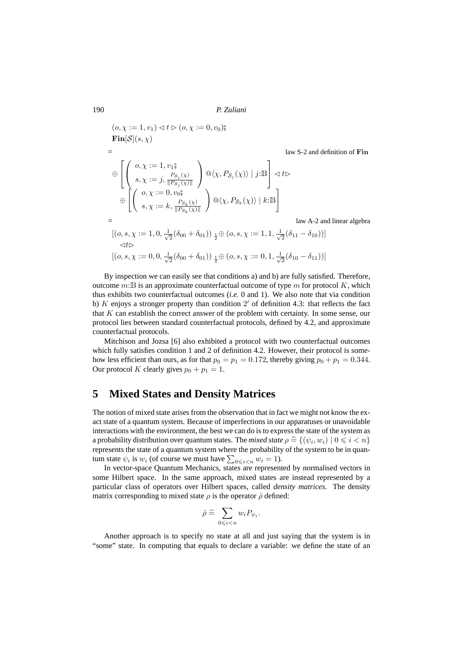$(o, \chi := 1, v_1) \triangleleft t \triangleright (o, \chi := 0, v_0)$  $\mathbf{Fin}[\mathcal{S}](s,\chi)$ law S-2 and definition of Fin ⊕  $\lceil$  $\overline{\phantom{a}}$  $\sqrt{ }$  $\mathcal{L}$  $o, \chi := 1, v_1,$  $s, \chi := j, \frac{P_{\mathcal{S}_j}(\chi)}{\|P_{\mathcal{S}_j}(\chi)\|}$  $||P_{\mathcal{S}_j}(\chi)||$  $\setminus$  $\big| \mathcal{Q} \langle \chi, P_{\mathcal{S}_j}(\chi) \rangle | j:\mathbb{B}$ 1  $\vert \triangleleft t \triangleright$  $\bigoplus \left[ \left( \begin{array}{c} o, \chi := 0, v_0 \r{3} \ 0, \chi := 0 \ 0, v_0 \r{6} \end{array} \right) \right]$  $s, \chi := k, \frac{P_{\mathcal{S}_k}(\chi)}{\|P_{\mathcal{S}_k}(\chi)\|}$  $\|P_{\mathcal{S}_k}(\chi)\|$  $\setminus$  $\mathbb{Q}\langle \chi, P_{\mathcal{S}_k}(\chi) \rangle \mid k:\mathbb{B}$ 1 law A-2 and linear algebra  $[(o, s, \chi) := 1, 0, \frac{1}{\sqrt{2}}]$  $\frac{1}{2}(\delta_{00}+\delta_{01}))\,\frac{1}{2}\!\oplus\!(o,s,\chi:=1,1,\frac{1}{\sqrt{2}}$  $\frac{1}{2}(\delta_{11}-\delta_{10}))]$  $\lhd t$  $[(o, s, \chi) = 0, 0, \frac{1}{\sqrt{2}}]$  $\frac{1}{2}(\delta_{00}+\delta_{01}))\,\frac{1}{2}\!\oplus\!(o,s,\chi:=0,1,\frac{1}{\sqrt{2}}$  $\frac{1}{2}(\delta_{10}-\delta_{11})$ 

By inspection we can easily see that conditions a) and b) are fully satisfied. Therefore, outcome  $m:$  B is an approximate counterfactual outcome of type m for protocol K, which thus exhibits two counterfactual outcomes (*i.e.* 0 and 1). We also note that via condition b)  $K$  enjoys a stronger property than condition  $2'$  of definition 4.3: that reflects the fact that  $K$  can establish the correct answer of the problem with certainty. In some sense, our protocol lies between standard counterfactual protocols, defined by 4.2, and approximate counterfactual protocols.

Mitchison and Jozsa [6] also exhibited a protocol with two counterfactual outcomes which fully satisfies condition 1 and 2 of definition 4.2. However, their protocol is somehow less efficient than ours, as for that  $p_0 = p_1 = 0.172$ , thereby giving  $p_0 + p_1 = 0.344$ . Our protocol K clearly gives  $p_0 + p_1 = 1$ .

### **5 Mixed States and Density Matrices**

The notion of mixed state arises from the observation that in fact we might not know the exact state of a quantum system. Because of imperfections in our apparatuses or unavoidable interactions with the environment, the best we can do is to express the state of the system as a probability distribution over quantum states. The *mixed state*  $\rho \triangleq \{(\psi_i, w_i) | 0 \leq i \leq n\}$ <br>represents the state of a quantum system where the probability of the system to be in quanrepresents the state of a quantum system where the probability of the system to be in quantum state  $\psi_i$  is  $w_i$  (of course we must have  $\sum_{0 \leq i < n} w_i = 1$ ).

In vector-space Quantum Mechanics, states are represented by normalised vectors in some Hilbert space. In the same approach, mixed states are instead represented by a particular class of operators over Hilbert spaces, called *density matrices*. The density matrix corresponding to mixed state  $\rho$  is the operator  $\hat{\rho}$  defined:

$$
\hat{\rho} \,\widehat{=}\, \sum_{0\leqslant i < n} w_i P_{\psi_i}.
$$

Another approach is to specify no state at all and just saying that the system is in "some" state. In computing that equals to declare a variable: we define the state of an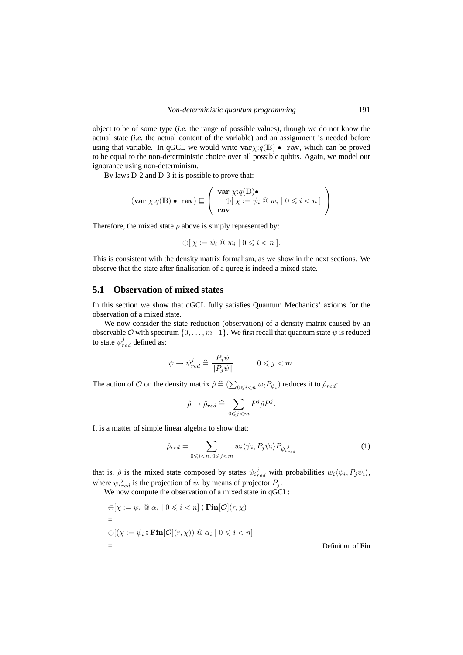object to be of some type (*i.e.* the range of possible values), though we do not know the actual state (*i.e.* the actual content of the variable) and an assignment is needed before using that variable. In qGCL we would write  $var\chi:q(B) \bullet \text{ rav}$ , which can be proved to be equal to the non-deterministic choice over all possible qubits. Again, we model our ignorance using non-determinism.

By laws D-2 and D-3 it is possible to prove that:

$$
(\mathbf{var}\ \chi:q(\mathbb{B})\bullet\ \mathbf{rav})\sqsubseteq\left(\begin{array}{c}\mathbf{var}\ \chi:q(\mathbb{B})\bullet\\ \oplus[\ \chi:=\psi_i\ \text{@}\ w_i\mid 0\leqslant i
$$

Therefore, the mixed state  $\rho$  above is simply represented by:

$$
\oplus [ \chi := \psi_i \otimes w_i \mid 0 \leq i < n ].
$$

This is consistent with the density matrix formalism, as we show in the next sections. We observe that the state after finalisation of a qureg is indeed a mixed state.

#### **5.1 Observation of mixed states**

In this section we show that qGCL fully satisfies Quantum Mechanics' axioms for the observation of a mixed state.

We now consider the state reduction (observation) of a density matrix caused by an observable  $\mathcal O$  with spectrum  $\{0, \ldots, m-1\}$ . We first recall that quantum state  $\psi$  is reduced to state  $\psi_{red}^j$  defined as:

$$
\psi \to \psi_{red}^j \; \widehat{=} \; \frac{P_j \psi}{\|P_j \psi\|} \qquad \qquad 0 \leqslant j < m.
$$

The action of  $O$  on the density matrix  $\hat{\rho} \triangleq (\sum_{0 \leq i < n} w_i P_{\psi_i})$  reduces it to  $\hat{\rho}_{red}$ :

$$
\hat{\rho} \to \hat{\rho}_{red} \stackrel{\triangle}{=} \sum_{0 \leqslant j < m} P^j \hat{\rho} P^j.
$$

It is a matter of simple linear algebra to show that:

$$
\hat{\rho}_{red} = \sum_{0 \leqslant i < n, 0 \leqslant j < m} w_i \langle \psi_i, P_j \psi_i \rangle P_{\psi_i^j_{red}} \tag{1}
$$

that is,  $\hat{\rho}$  is the mixed state composed by states  $\psi_{i, red}^{j}$  with probabilities  $w_i \langle \psi_i, P_j \psi_i \rangle$ , where  $\psi_{i_{red}}^{j}$  is the projection of  $\psi_{i}$  by means of projector  $P_{j}$ .

We now compute the observation of a mixed state in qGCL:

$$
\bigoplus \{ \chi := \psi_i \otimes \alpha_i \mid 0 \leq i < n \} \S \operatorname{Fin}[\mathcal{O}](r, \chi)
$$
\n
$$
= \bigoplus \{ (\chi := \psi_i \S \operatorname{Fin}[\mathcal{O}](r, \chi)) \otimes \alpha_i \mid 0 \leq i < n \}
$$
\n
$$
= \operatorname{Definition of \operatorname{Fin}}
$$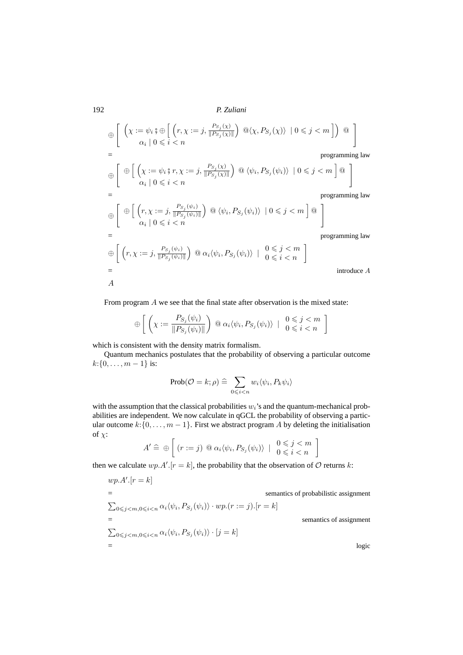⊕  $\left[\begin{array}{c} \left(\chi:=\psi_i\right)\oplus\left[\begin{array}{c} \left(r,\chi:=j,\frac{P_{S_j}(\chi)}{\|P_{S_j}(\chi)\right)}\end{array}\right]\right] \end{array}\right]$  $\left(\frac{P_{S_j}(\chi)}{\|P_{S_j}(\chi)\|}\right) \mathbb{Q}\langle \chi, P_{S_j}(\chi) \rangle \mid 0 \leqslant j < m \right]$ )  $\mathbb{Q}$  $=\psi_i$ ;  $\oplus \left[ \left( r, \chi := j, \frac{P_{S_j}(\chi)}{\| P_{S_j}(\chi) \|} \right) \mathbb{Q} \langle \chi, P_{S_j}(\chi) \rangle \mid 0 \leqslant j < m \right] \right) \mathbb{Q}$ <br>  $\alpha_i | 0 \leqslant i < n$ programming law ⊕ " ⊕  $\frac{1}{2}$  :=  $\frac{1}{2}$  :=  $\frac{1}{2}$  :=  $\frac{1}{2}$  :=  $\frac{1}{2}$  :=  $\frac{1}{2}$  :=  $\frac{1}{2}$  :=  $\frac{1}{2}$  :=  $\frac{1}{2}$  :=  $\frac{1}{2}$  :=  $\frac{1}{2}$  :=  $\frac{1}{2}$  :=  $\frac{1}{2}$  :=  $\frac{1}{2}$  :=  $\frac{1}{2}$  :=  $\frac{1}{2}$  :=  $\frac{1}{2}$  :=  $\frac{P_{S_j}(\chi)}{P_{S_j}(\chi)\parallel}$   $\odot$   $\langle \psi_i \rangle$  $\|P_{S_j}$  $(\chi)$  $, P_{S_j}(\psi_i) \rangle \mid 0 \leqslant j < m$  $l \approx 1$ 

$$
\bigoplus \left[ \begin{array}{c} \bigoplus \left[ \left( \chi := \psi_i \, \mathfrak{z} \, r, \chi := j, \frac{P_{S_j}(\chi)}{\| P_{S_j}(\chi) \|} \right) \, \mathbb{Q} \, \langle \psi_i, P_{S_j}(\psi_i) \rangle \, \mid 0 \leqslant j < m \right] \mathbb{Q} \\ \alpha_i \mid 0 \leqslant i < n \end{array} \right]
$$
\n
$$
= \text{programming law}
$$

 $\left[\begin{array}{c} \oplus \end{array}\right] (r, \chi := j, \frac{P_{S_j}(\psi_i)}{\Vert P_{S_j}(\psi_i) \Vert}$  $\frac{P_{S_j}(\psi_i)}{\|P_{S_j}(\psi_i)\|}\bigg) \ @\ \langle\psi_i, P_{S_j}(\psi_i)\rangle \ | \ 0\leqslant j < m \ \bigg] \ @$  $\left(r, \chi := j, \frac{P_{S_j}(\psi_i)}{\|P_{S_j}(\psi_i)\|}\right) \text{ } @ \langle \psi_i, P_{S_j}(\psi_i) \rangle \mid 0 \leq j < m \text{ } \bigg] \text{ } @ \bigg\}$ = programming law  $\bigoplus \left[ \right. \big( r, \chi := j, \frac{P_{S_j}(\psi_i)}{\Vert P_{S_j}(\psi_i) \Vert} \big)$  $\frac{P_{S_j}(\psi_i)}{\|P_{S_j}(\psi_i)\|}\bigg) \ @ \ \alpha_i \langle \psi_i, P_{S_j}(\psi_i) \rangle \ \mid \ \begin{array}{c} 0 \leqslant j < m \\ 0 \leqslant i < n \end{array} \bigg]$ 

introduce  $A$ 

From program A we see that the final state after observation is the mixed state:

$$
\bigoplus \left[ \left( \chi := \frac{P_{S_j}(\psi_i)}{\| P_{S_j}(\psi_i) \|} \right) \, \textcircled{a} \, \alpha_i \langle \psi_i, P_{S_j}(\psi_i) \rangle \, \mid \, \begin{array}{c} 0 \leqslant j < m \\ 0 \leqslant i < n \end{array} \right]
$$

which is consistent with the density matrix formalism.

Quantum mechanics postulates that the probability of observing a particular outcome  $k: \{0, \ldots, m-1\}$  is:

$$
\operatorname{Prob}(\mathcal{O}=k;\rho)\,\widehat{=}\,\sum_{0\leqslant i
$$

with the assumption that the classical probabilities  $w_i$ 's and the quantum-mechanical probabilities are independent. We now calculate in qGCL the probability of observing a particular outcome  $k:\{0,\ldots,m-1\}$ . First we abstract program A by deleting the initialisation of  $\chi$ :

$$
A' \,\widehat{=}\, \oplus \left[ (r := j) \,\, @ \,\alpha_i \langle \psi_i, P_{S_j}(\psi_i) \rangle \, \mid \, \begin{array}{c} 0 \leqslant j < m \\ 0 \leqslant i < n \end{array} \right]
$$

then we calculate  $wp.A'.[r = k]$ , the probability that the observation of O returns k:

$$
wp.A'.[r = k]
$$
  
\n=   
\n
$$
\sum_{0 \le j < m, 0 \le i < n} \alpha_i \langle \psi_i, P_{S_j}(\psi_i) \rangle \cdot wp.(r := j).[r = k]
$$
  
\n=   
\n
$$
\sum_{0 \le j < m, 0 \le i < n} \alpha_i \langle \psi_i, P_{S_j}(\psi_i) \rangle \cdot [j = k]
$$
  
\n=   
\n
$$
logic
$$

192 *P. Zuliani*

⊕

A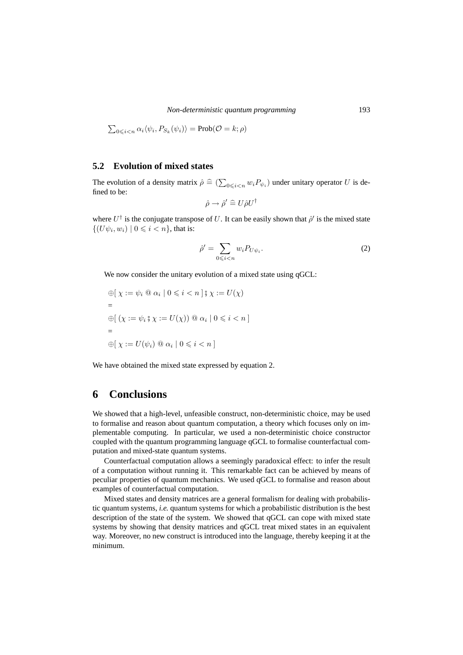$$
\sum_{0 \leq i < n} \alpha_i \langle \psi_i, P_{S_k}(\psi_i) \rangle = \text{Prob}(\mathcal{O} = k; \rho)
$$

### **5.2 Evolution of mixed states**

The evolution of a density matrix  $\hat{\rho} \triangleq (\sum_{0 \leq i < n} w_i P_{\psi_i})$  under unitary operator U is defined to be: fined to be:

$$
\hat{\rho} \to \hat{\rho}' \hat{=} U \hat{\rho} U^{\dagger}
$$

where  $U^{\dagger}$  is the conjugate transpose of U. It can be easily shown that  $\hat{\rho}'$  is the mixed state  $\{(U\psi_i, w_i) \mid 0 \leq i < n\}$ , that is:

$$
\hat{\rho}' = \sum_{0 \leqslant i < n} w_i P_{U\psi_i}.\tag{2}
$$

We now consider the unitary evolution of a mixed state using qGCL:

$$
\begin{aligned} \bigoplus \{ \chi &:= \psi_i \otimes \alpha_i \mid 0 \leq i < n \mid \mathfrak{z} \chi := U(\chi) \\ &= \\ \bigoplus \{ \left( \chi := \psi_i \mathfrak{z} \chi := U(\chi) \right) \otimes \alpha_i \mid 0 \leq i < n \right\} \\ &= \\ \bigoplus \{ \chi := U(\psi_i) \otimes \alpha_i \mid 0 \leq i < n \end{aligned}
$$

We have obtained the mixed state expressed by equation 2.

### **6 Conclusions**

We showed that a high-level, unfeasible construct, non-deterministic choice, may be used to formalise and reason about quantum computation, a theory which focuses only on implementable computing. In particular, we used a non-deterministic choice constructor coupled with the quantum programming language qGCL to formalise counterfactual computation and mixed-state quantum systems.

Counterfactual computation allows a seemingly paradoxical effect: to infer the result of a computation without running it. This remarkable fact can be achieved by means of peculiar properties of quantum mechanics. We used qGCL to formalise and reason about examples of counterfactual computation.

Mixed states and density matrices are a general formalism for dealing with probabilistic quantum systems, *i.e.* quantum systems for which a probabilistic distribution is the best description of the state of the system. We showed that qGCL can cope with mixed state systems by showing that density matrices and qGCL treat mixed states in an equivalent way. Moreover, no new construct is introduced into the language, thereby keeping it at the minimum.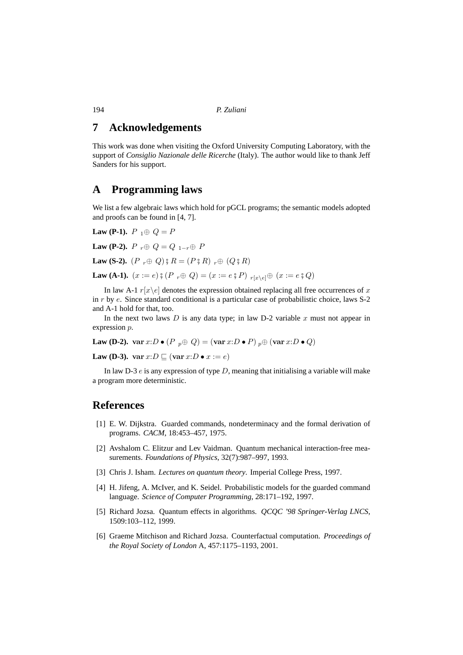## **7 Acknowledgements**

This work was done when visiting the Oxford University Computing Laboratory, with the support of *Consiglio Nazionale delle Ricerche* (Italy). The author would like to thank Jeff Sanders for his support.

# **A Programming laws**

We list a few algebraic laws which hold for pGCL programs; the semantic models adopted and proofs can be found in [4, 7].

**Law (P-1).**  $P_1 \oplus Q = P$ **Law (P-2).**  $P_r \oplus Q = Q_{1-r} \oplus P$ 

**Law (S-2).**  $(P_r \oplus Q)$   $R = (P R R)_{r} \oplus (Q R R)$ 

**Law (A-1).**  $(x := e)$   $\circ$   $(P \rightharpoondown Q) = (x := e \circ P) \rightharpoondown_{r[x \setminus e]} \oplus (x := e \circ Q)$ 

In law A-1  $r[x\backslash e]$  denotes the expression obtained replacing all free occurrences of x in r by e. Since standard conditional is a particular case of probabilistic choice, laws S-2 and A-1 hold for that, too.

In the next two laws  $D$  is any data type; in law D-2 variable  $x$  must not appear in expression p.

**Law (D-2).** var  $x:D \bullet (P \circledcirc_{p} \oplus Q) = (\text{var } x:D \bullet P) \circledcirc_{p} \oplus (\text{var } x:D \bullet Q)$ 

**Law (D-3).** var  $x:D \sqsubseteq (\text{var } x:D \bullet x := e)$ 

In law D-3  $e$  is any expression of type D, meaning that initialising a variable will make a program more deterministic.

### **References**

- [1] E. W. Dijkstra. Guarded commands, nondeterminacy and the formal derivation of programs. *CACM*, 18:453–457, 1975.
- [2] Avshalom C. Elitzur and Lev Vaidman. Quantum mechanical interaction-free measurements. *Foundations of Physics*, 32(7):987–997, 1993.
- [3] Chris J. Isham. *Lectures on quantum theory*. Imperial College Press, 1997.
- [4] H. Jifeng, A. McIver, and K. Seidel. Probabilistic models for the guarded command language. *Science of Computer Programming*, 28:171–192, 1997.
- [5] Richard Jozsa. Quantum effects in algorithms. *QCQC '98 Springer-Verlag LNCS*, 1509:103–112, 1999.
- [6] Graeme Mitchison and Richard Jozsa. Counterfactual computation. *Proceedings of the Royal Society of London* A, 457:1175–1193, 2001.